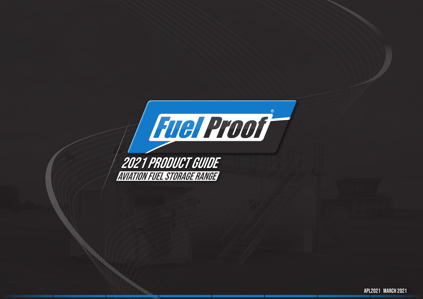

2021 Product guide Aviation fuel storage range

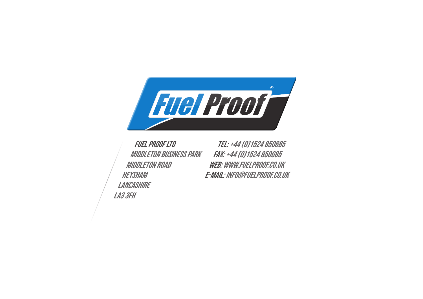

Fuel proof ltd Middleton Business Park Middleton Road **HEYSHAM LANCASHIRE** LA3 3FH

Tel: +44 (0)1524 850685 Fax: +44 (0)1524 850685 Web: www.fuelproof.co.uk e-mail: info@fuelproof.co.uk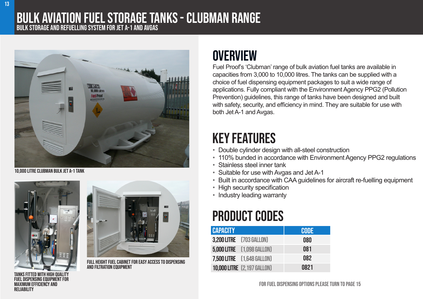### Bulk aviation fuel storage tanks - Clubman range bulk storage and refuelling system for Jet A-1 and avgas



10,000 litre Clubman bulk Jet A-1 tank



**SPENSING EQUIPMENT FOR** 

maximum efficiency and

**RELIARILITY** 



Full height fuel cabinet for easy access to dispensing and filtration equipment

### **OVERVIEW**

Fuel Proof's 'Clubman' range of bulk aviation fuel tanks are available in capacities from 3,000 to 10,000 litres. The tanks can be supplied with a choice of fuel dispensing equipment packages to suit a wide range of applications. Fully compliant with the Environment Agency PPG2 (Pollution Prevention) guidelines, this range of tanks have been designed and built with safety, security, and efficiency in mind. They are suitable for use with both Jet A-1 and Avgas.

# key features

- Double cylinder design with all-steel construction
- 110% bunded in accordance with Environment Agency PPG2 regulations
- Stainless steel inner tank
- Suitable for use with Avgas and Jet A-1
- Built in accordance with CAA guidelines for aircraft re-fuelling equipment
- High security specification
- Industry leading warranty

### product codes

| <b>CAPACITY</b> |                                    | <b>CODE</b> |
|-----------------|------------------------------------|-------------|
|                 | <b>3,200 LITRE</b> [703 GALLON]    | 080         |
|                 | <b>5,000 LITRE</b> [1,098 GALLON]  | 081         |
|                 | 7,500 LITRE [1,648 GALLON]         | 082         |
|                 | <b>10,000 LITRE</b> [2,197 GALLON] | 0821        |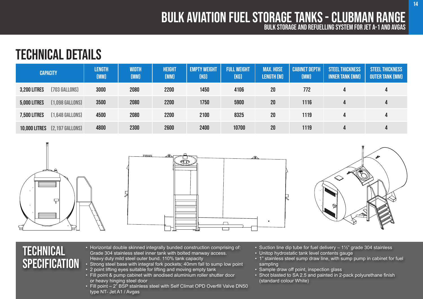#### bulk storage and refuelling system for Jet A-1 and Avgas Bulk aviation fuel storage tanks - Clubman range

## technical details

| <b>CAPACITY</b>      |                 | <b>LENGTH</b><br>[MM] | <b>WIDTH</b><br>(MM) | <b>HEIGHT</b><br>(MM) | <b>EMPTY WEIGHT</b><br>(KG) | <b>FULL WEIGHT</b><br>(KG) | <b>MAX. HOSE</b><br>LENGTH (M) | <b>CABINET DEPTH</b><br>(MM) | <b>STEEL THICKNESS</b><br><b>INNER TANK (MM)</b> | <b>STEEL THICKNESS</b><br><b>OUTER TANK (MM)</b> |
|----------------------|-----------------|-----------------------|----------------------|-----------------------|-----------------------------|----------------------------|--------------------------------|------------------------------|--------------------------------------------------|--------------------------------------------------|
| <b>3,200 LITRES</b>  | [703 GALLONS]   | 3000                  | 2080                 | 2200                  | 1450                        | 4106                       | 20                             | 772                          | 4                                                | 4                                                |
| <b>5,000 LITRES</b>  | [1,098 GALLONS] | 3500                  | 2080                 | 2200                  | 1750                        | 5900                       | 20 <sub>2</sub>                | 1116                         | 4                                                | 4                                                |
| <b>7,500 LITRES</b>  | [1,648 GALLONS] | 4500                  | 2080                 | 2200                  | 2100                        | 8325                       | 20 <sup>°</sup>                | 1119                         | 4                                                | 4                                                |
| <b>10,000 LITRES</b> | [2,197 GALLONS] | 4800                  | 2300                 | 2600                  | 2400                        | 10700                      | 20 <sub>2</sub>                | 1119                         | 4                                                | 4                                                |







### **TECHNICAL SPECIFICATION**

- Horizontal double skinned integrally bunded construction comprising of: Grade 304 stainless steel inner tank with bolted manway access. Heavy duty mild steel outer bund. 110% tank capacity
- Strong steel base with integral fork pockets; 40mm fall to sump low point
- 2 point lifting eyes suitable for lifting and moving empty tank
- Fill point & pump cabinet with anodised aluminium roller shutter door or heavy hinging steel door
- Fill point 2" BSP stainless steel with Self Climat OPD Overfill Valve DN50 type NT- Jet A1 / Avgas
- Suction line dip tube for fuel delivery  $-1\frac{1}{2}$  grade 304 stainless
- Unitop hydrostatic tank level contents gauge
- 1" stainless steel sump draw line, with sump pump in cabinet for fuel sampling
- Sample draw off point, inspection glass
- Shot blasted to SA 2.5 and painted in 2-pack polyurethane finish (standard colour White)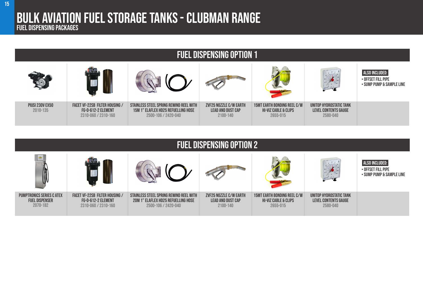